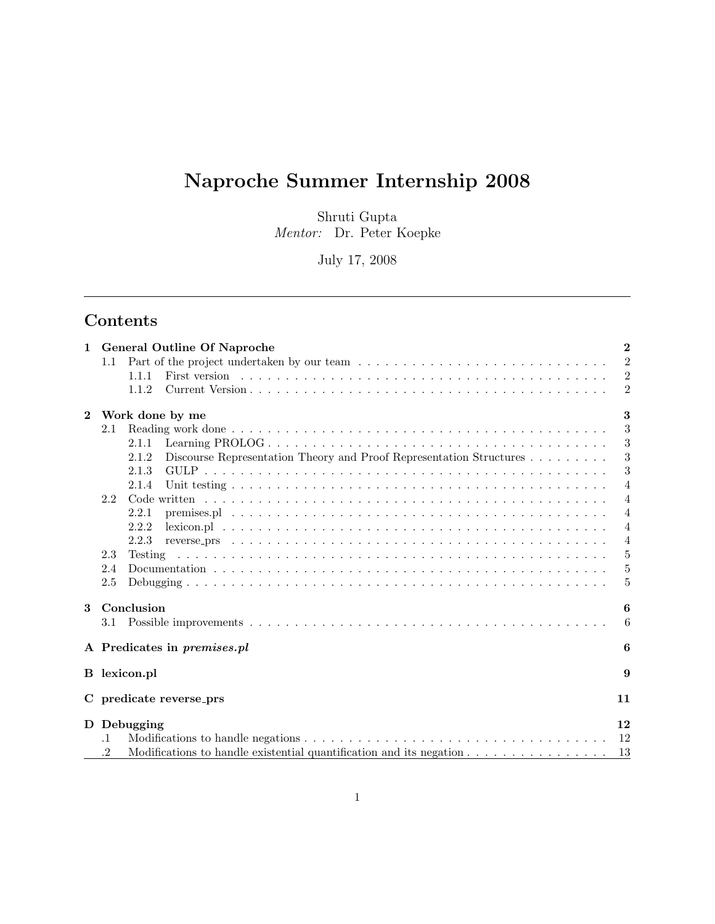# Naproche Summer Internship 2008

Shruti Gupta Mentor: Dr. Peter Koepke

July 17, 2008

# Contents

| $\mathbf{1}$                    | <b>General Outline Of Naproche</b>                                             | $\overline{2}$ |  |  |  |
|---------------------------------|--------------------------------------------------------------------------------|----------------|--|--|--|
|                                 | 1.1                                                                            | $\overline{2}$ |  |  |  |
|                                 | 1.1.1                                                                          | $\overline{2}$ |  |  |  |
|                                 | 1.1.2                                                                          | $\overline{2}$ |  |  |  |
| $\mathbf{2}$<br>Work done by me |                                                                                |                |  |  |  |
|                                 | 2.1                                                                            | 3              |  |  |  |
|                                 | 2.1.1                                                                          | 3              |  |  |  |
|                                 | Discourse Representation Theory and Proof Representation Structures<br>2.1.2   | 3              |  |  |  |
|                                 | 2.1.3                                                                          | 3              |  |  |  |
|                                 | 2.1.4                                                                          | $\overline{4}$ |  |  |  |
|                                 | 2.2                                                                            | $\overline{4}$ |  |  |  |
|                                 | 2.2.1                                                                          | $\overline{4}$ |  |  |  |
|                                 | 2.2.2                                                                          | $\overline{4}$ |  |  |  |
|                                 | 2.2.3                                                                          | $\overline{4}$ |  |  |  |
|                                 | 2.3<br>Testing                                                                 | 5              |  |  |  |
|                                 | 2.4                                                                            | 5              |  |  |  |
|                                 | 2.5                                                                            | 5              |  |  |  |
| 3                               | Conclusion                                                                     | 6              |  |  |  |
|                                 | 3.1                                                                            | 6              |  |  |  |
|                                 | A Predicates in premises.pl                                                    | 6              |  |  |  |
|                                 | <b>B</b> lexicon.pl                                                            | 9              |  |  |  |
|                                 | C predicate reverse_prs<br>11                                                  |                |  |  |  |
|                                 | D Debugging                                                                    | 12             |  |  |  |
|                                 | $\cdot$ 1                                                                      | 12             |  |  |  |
|                                 | Modifications to handle existential quantification and its negation<br>$\cdot$ | 13             |  |  |  |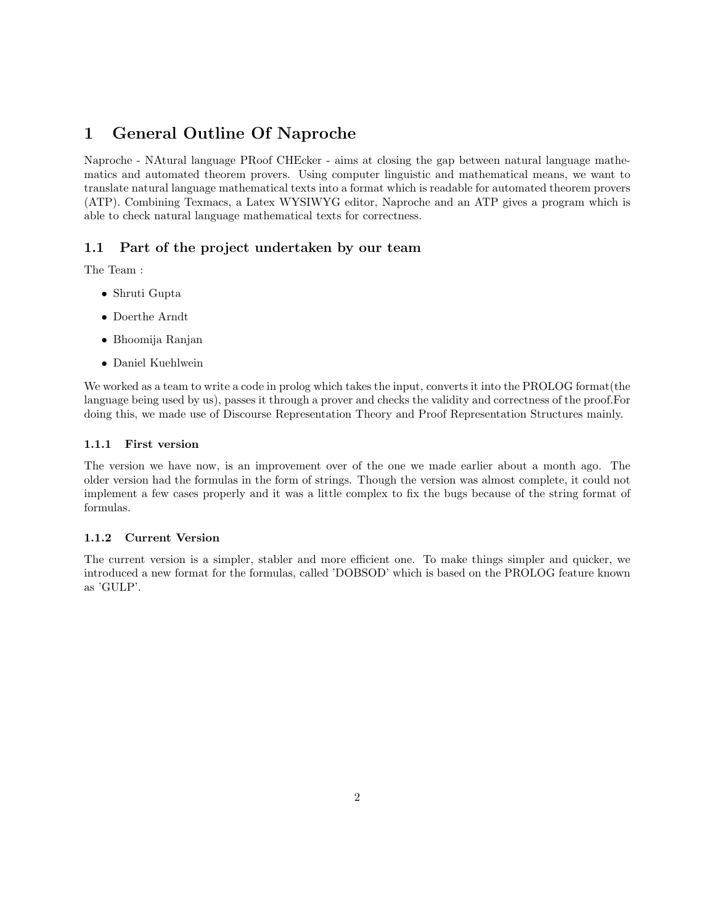# 1 General Outline Of Naproche

Naproche - NAtural language PRoof CHEcker - aims at closing the gap between natural language mathematics and automated theorem provers. Using computer linguistic and mathematical means, we want to translate natural language mathematical texts into a format which is readable for automated theorem provers (ATP). Combining Texmacs, a Latex WYSIWYG editor, Naproche and an ATP gives a program which is able to check natural language mathematical texts for correctness.

# 1.1 Part of the project undertaken by our team

The Team :

- Shruti Gupta
- Doerthe Arndt
- Bhoomija Ranjan
- Daniel Kuehlwein

We worked as a team to write a code in prolog which takes the input, converts it into the PROLOG format (the language being used by us), passes it through a prover and checks the validity and correctness of the proof.For doing this, we made use of Discourse Representation Theory and Proof Representation Structures mainly.

### 1.1.1 First version

The version we have now, is an improvement over of the one we made earlier about a month ago. The older version had the formulas in the form of strings. Though the version was almost complete, it could not implement a few cases properly and it was a little complex to fix the bugs because of the string format of formulas.

### 1.1.2 Current Version

The current version is a simpler, stabler and more efficient one. To make things simpler and quicker, we introduced a new format for the formulas, called 'DOBSOD' which is based on the PROLOG feature known as 'GULP'.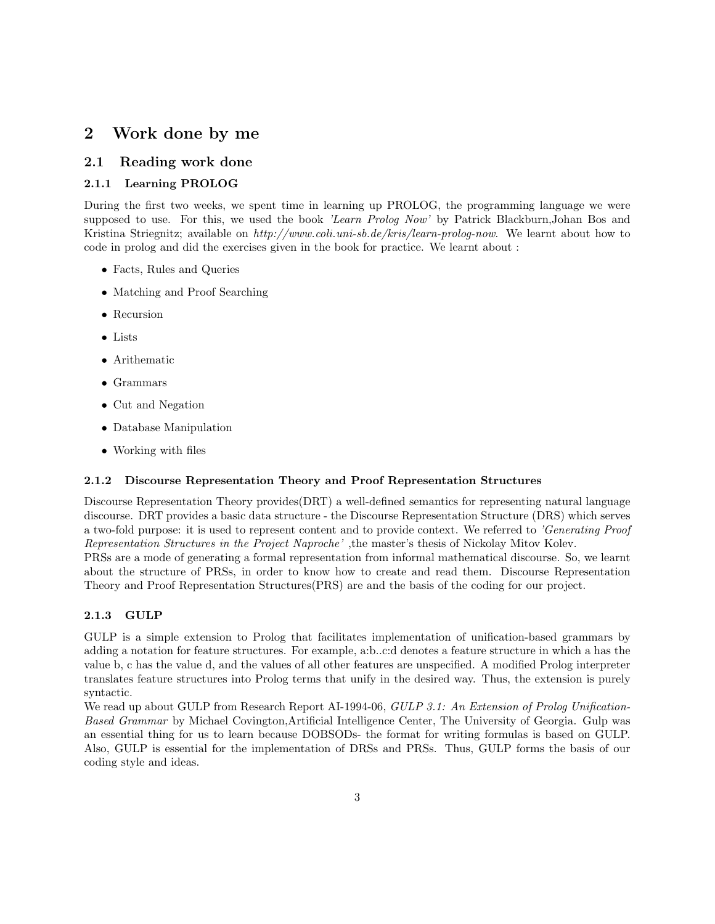# 2 Work done by me

### 2.1 Reading work done

#### 2.1.1 Learning PROLOG

During the first two weeks, we spent time in learning up PROLOG, the programming language we were supposed to use. For this, we used the book *'Learn Prolog Now'* by Patrick Blackburn, Johan Bos and Kristina Striegnitz; available on http://www.coli.uni-sb.de/kris/learn-prolog-now. We learnt about how to code in prolog and did the exercises given in the book for practice. We learnt about :

- Facts, Rules and Queries
- Matching and Proof Searching
- Recursion
- Lists
- Arithematic
- Grammars
- Cut and Negation
- Database Manipulation
- Working with files

#### 2.1.2 Discourse Representation Theory and Proof Representation Structures

Discourse Representation Theory provides(DRT) a well-defined semantics for representing natural language discourse. DRT provides a basic data structure - the Discourse Representation Structure (DRS) which serves a two-fold purpose: it is used to represent content and to provide context. We referred to 'Generating Proof Representation Structures in the Project Naproche' ,the master's thesis of Nickolay Mitov Kolev. PRSs are a mode of generating a formal representation from informal mathematical discourse. So, we learnt about the structure of PRSs, in order to know how to create and read them. Discourse Representation Theory and Proof Representation Structures(PRS) are and the basis of the coding for our project.

### 2.1.3 GULP

GULP is a simple extension to Prolog that facilitates implementation of unification-based grammars by adding a notation for feature structures. For example, a:b..c:d denotes a feature structure in which a has the value b, c has the value d, and the values of all other features are unspecified. A modified Prolog interpreter translates feature structures into Prolog terms that unify in the desired way. Thus, the extension is purely syntactic.

We read up about GULP from Research Report AI-1994-06, GULP 3.1: An Extension of Prolog Unification-Based Grammar by Michael Covington,Artificial Intelligence Center, The University of Georgia. Gulp was an essential thing for us to learn because DOBSODs- the format for writing formulas is based on GULP. Also, GULP is essential for the implementation of DRSs and PRSs. Thus, GULP forms the basis of our coding style and ideas.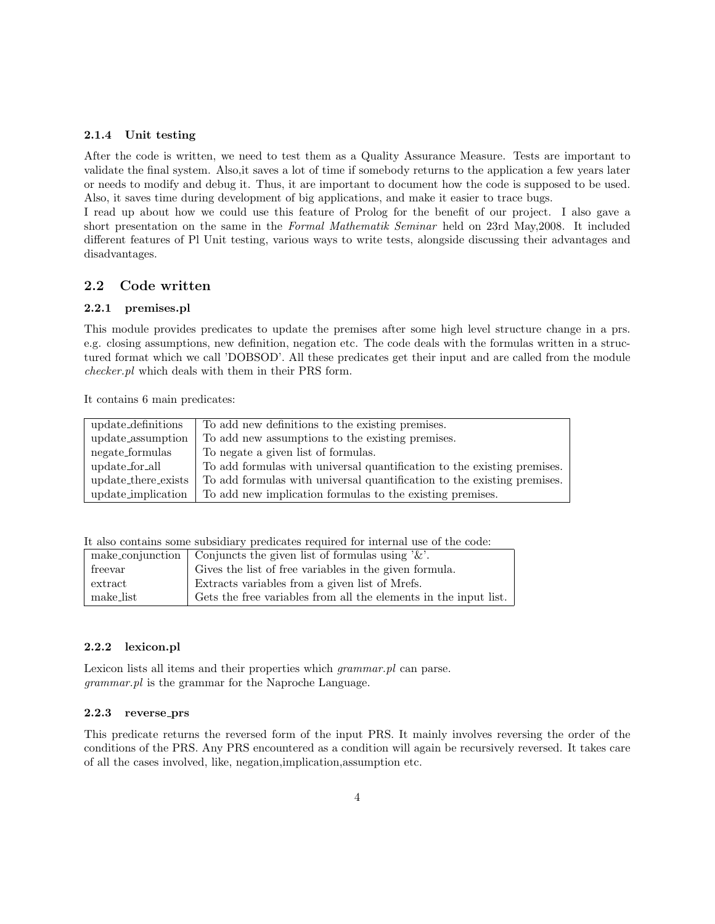#### 2.1.4 Unit testing

After the code is written, we need to test them as a Quality Assurance Measure. Tests are important to validate the final system. Also,it saves a lot of time if somebody returns to the application a few years later or needs to modify and debug it. Thus, it are important to document how the code is supposed to be used. Also, it saves time during development of big applications, and make it easier to trace bugs.

I read up about how we could use this feature of Prolog for the benefit of our project. I also gave a short presentation on the same in the Formal Mathematik Seminar held on 23rd May,2008. It included different features of Pl Unit testing, various ways to write tests, alongside discussing their advantages and disadvantages.

### 2.2 Code written

#### 2.2.1 premises.pl

This module provides predicates to update the premises after some high level structure change in a prs. e.g. closing assumptions, new definition, negation etc. The code deals with the formulas written in a structured format which we call 'DOBSOD'. All these predicates get their input and are called from the module checker.pl which deals with them in their PRS form.

It contains 6 main predicates:

| update_definitions  | To add new definitions to the existing premises.                        |
|---------------------|-------------------------------------------------------------------------|
| update_assumption   | To add new assumptions to the existing premises.                        |
| negate_formulas     | To negate a given list of formulas.                                     |
| update_for_all      | To add formulas with universal quantification to the existing premises. |
| update_there_exists | To add formulas with universal quantification to the existing premises. |
| update_implication  | To add new implication formulas to the existing premises.               |

It also contains some subsidiary predicates required for internal use of the code:

|           | make_conjunction   Conjuncts the given list of formulas using ' $\&$ '. |
|-----------|-------------------------------------------------------------------------|
| freevar   | Gives the list of free variables in the given formula.                  |
| extract   | Extracts variables from a given list of Mrefs.                          |
| make_list | Gets the free variables from all the elements in the input list.        |

#### 2.2.2 lexicon.pl

Lexicon lists all items and their properties which *grammar.pl* can parse. grammar.pl is the grammar for the Naproche Language.

#### 2.2.3 reverse prs

This predicate returns the reversed form of the input PRS. It mainly involves reversing the order of the conditions of the PRS. Any PRS encountered as a condition will again be recursively reversed. It takes care of all the cases involved, like, negation,implication,assumption etc.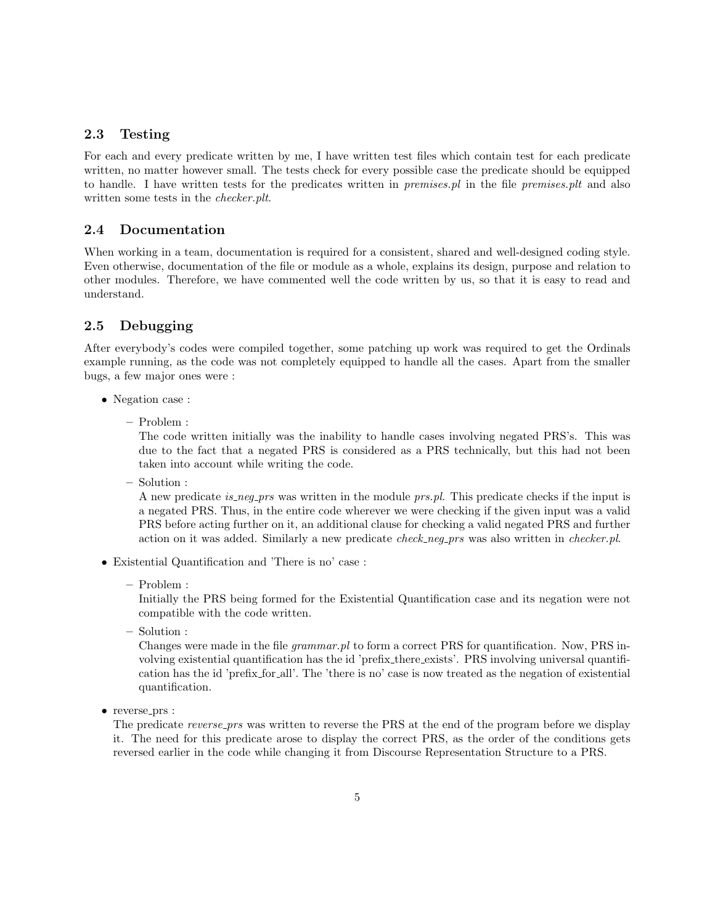### 2.3 Testing

For each and every predicate written by me, I have written test files which contain test for each predicate written, no matter however small. The tests check for every possible case the predicate should be equipped to handle. I have written tests for the predicates written in *premises.pl* in the file *premises.plt* and also written some tests in the checker.plt.

### 2.4 Documentation

When working in a team, documentation is required for a consistent, shared and well-designed coding style. Even otherwise, documentation of the file or module as a whole, explains its design, purpose and relation to other modules. Therefore, we have commented well the code written by us, so that it is easy to read and understand.

## 2.5 Debugging

After everybody's codes were compiled together, some patching up work was required to get the Ordinals example running, as the code was not completely equipped to handle all the cases. Apart from the smaller bugs, a few major ones were :

- Negation case :
	- Problem :

The code written initially was the inability to handle cases involving negated PRS's. This was due to the fact that a negated PRS is considered as a PRS technically, but this had not been taken into account while writing the code.

– Solution :

A new predicate is neg prs was written in the module prs.pl. This predicate checks if the input is a negated PRS. Thus, in the entire code wherever we were checking if the given input was a valid PRS before acting further on it, an additional clause for checking a valid negated PRS and further action on it was added. Similarly a new predicate *check\_neq\_prs* was also written in *checker.pl.* 

- Existential Quantification and 'There is no' case :
	- Problem :

Initially the PRS being formed for the Existential Quantification case and its negation were not compatible with the code written.

– Solution :

Changes were made in the file  $grammar.pl$  to form a correct PRS for quantification. Now, PRS involving existential quantification has the id 'prefix there exists'. PRS involving universal quantification has the id 'prefix for all'. The 'there is no' case is now treated as the negation of existential quantification.

• reverse\_prs :

The predicate reverse\_prs was written to reverse the PRS at the end of the program before we display it. The need for this predicate arose to display the correct PRS, as the order of the conditions gets reversed earlier in the code while changing it from Discourse Representation Structure to a PRS.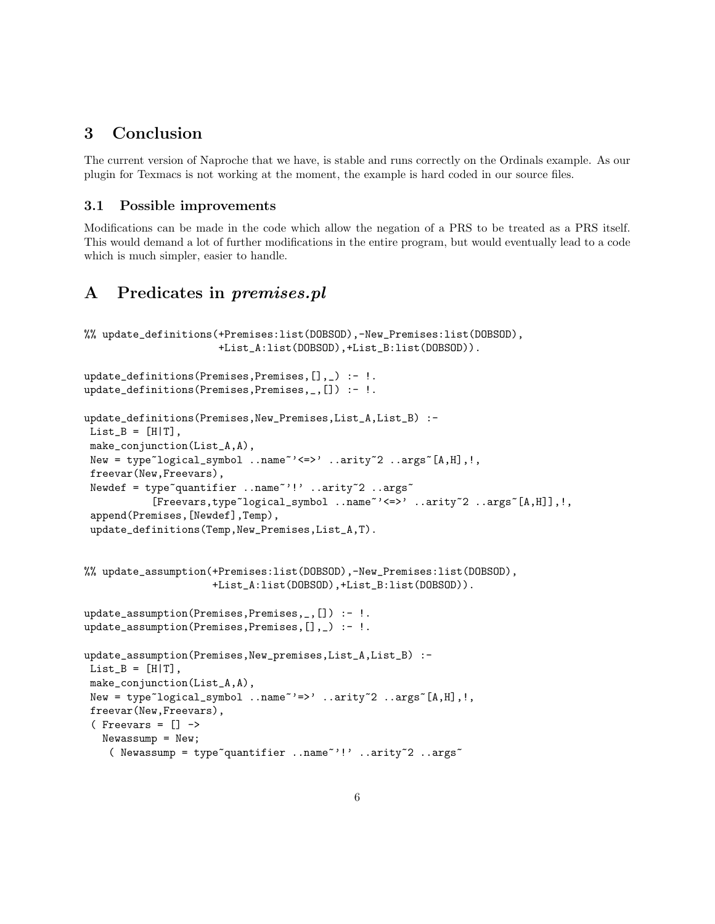# 3 Conclusion

The current version of Naproche that we have, is stable and runs correctly on the Ordinals example. As our plugin for Texmacs is not working at the moment, the example is hard coded in our source files.

#### 3.1 Possible improvements

Modifications can be made in the code which allow the negation of a PRS to be treated as a PRS itself. This would demand a lot of further modifications in the entire program, but would eventually lead to a code which is much simpler, easier to handle.

# A Predicates in premises.pl

```
%% update_definitions(+Premises:list(DOBSOD),-New_Premises:list(DOBSOD),
                      +List_A:list(DOBSOD),+List_B:list(DOBSOD)).
update_definitions(Premises,Premises,[], ) :- !.
update_definitions(Premises,Premises,_,[]) :- !.
update_definitions(Premises,New_Premises,List_A,List_B) :-
List_B = [H|T],make_conjunction(List_A,A),
New = type~logical_symbol ..name~' <= >' ..arity~2 ..args [A, H], !,
freevar(New,Freevars),
Newdef = type~quantifier ..name~'!' ..arity~2 ..args~
           [Frevars, type^-logical\_symbol ...name^- '<=' ' ...arity^-2 ...args^-[A,H]],!,append(Premises,[Newdef],Temp),
update_definitions(Temp,New_Premises,List_A,T).
%% update_assumption(+Premises:list(DOBSOD),-New_Premises:list(DOBSOD),
                     +List_A:list(DOBSOD),+List_B:list(DOBSOD)).
update_assumption(Premises,Premises,_,[]) :- !.
update_assumption(Premises,Premises,[],_) :- !.
update_assumption(Premises,New_premises,List_A,List_B) :-
List_B = [H|T],make_conjunction(List_A,A),
New = type~logical_symbol ..name~'=>' ..arity~2 ..args~[A,H], !,
freevar(New,Freevars),
 (Freevars = [] ->
  Newassump = New;
    ( Newassump = type~quantifier ..name~'!' ..arity~2 ..args~
```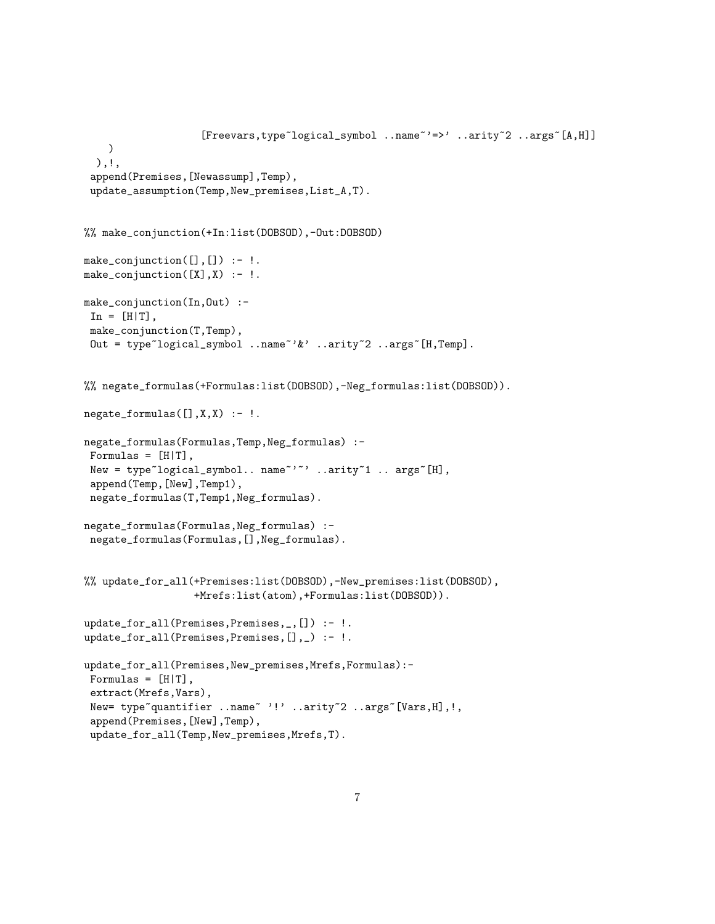```
[Freevars,type~logical_symbol ..name~'=>' ..arity~2 ..args~[A,H]]
   \lambda),!,
 append(Premises,[Newassump],Temp),
 update_assumption(Temp,New_premises,List_A,T).
%% make_conjunction(+In:list(DOBSOD),-Out:DOBSOD)
make\_conjunction([], [] ) :- !.
make\_conjunction([X], X) :- !.make_conjunction(In,Out) :-
In = [H|T],make_conjunction(T,Temp),
Out = type~logical_symbol ..name~'&' ..arity~2 ..args~[H,Temp].
%% negate_formulas(+Formulas:list(DOBSOD),-Neg_formulas:list(DOBSOD)).
negative\_formulas([], X, X) :- !.negate_formulas(Formulas,Temp,Neg_formulas) :-
Formulas = [H|T],
New = type~logical_symbol.. name~'"' ..arity~1 .. args~[H],
append(Temp,[New],Temp1),
negate_formulas(T,Temp1,Neg_formulas).
negate_formulas(Formulas,Neg_formulas) :-
negate_formulas(Formulas,[],Neg_formulas).
%% update_for_all(+Premises:list(DOBSOD),-New_premises:list(DOBSOD),
                  +Mrefs:list(atom),+Formulas:list(DOBSOD)).
update_for_all(Premises, Premises, _{]}update_for_all(Premises,Premises,[],_) :- !.
update_for_all(Premises,New_premises,Mrefs,Formulas):-
Formulas = [H|T],
extract(Mrefs,Vars),
New= type~quantifier ..name~ '!' ..arity~2 ..args~[Vars, H], !,
append(Premises,[New],Temp),
update_for_all(Temp,New_premises,Mrefs,T).
```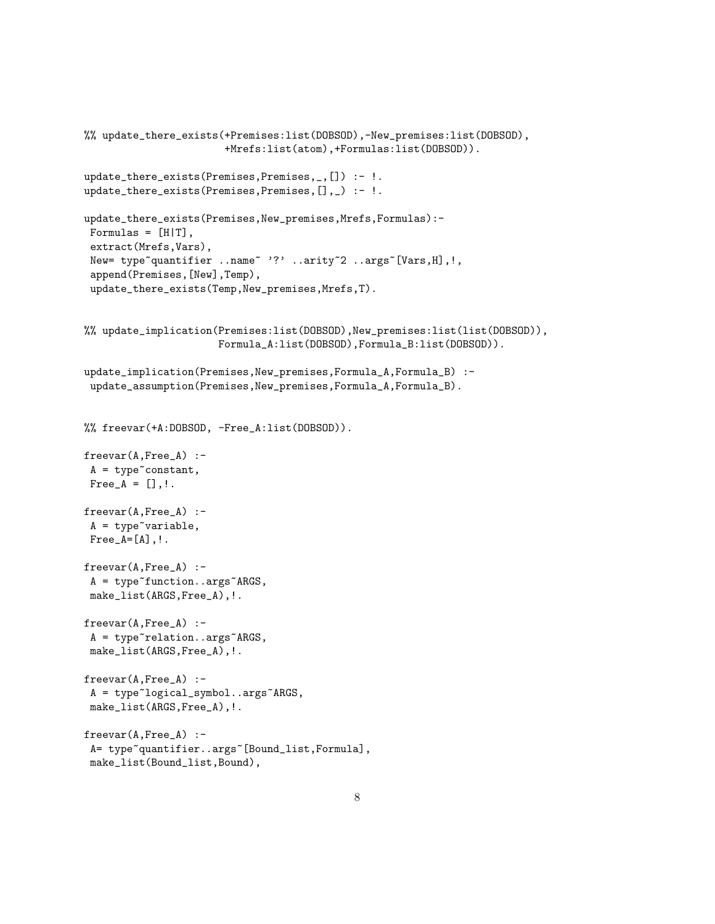```
%% update_there_exists(+Premises:list(DOBSOD),-New_premises:list(DOBSOD),
                        +Mrefs:list(atom),+Formulas:list(DOBSOD)).
update_there_exists(Premises,Premises,_,[]) :- !.
update_there_exists(Premises,Premises,[],_) :- !.
update_there_exists(Premises,New_premises,Mrefs,Formulas):-
Formulas = [H|T],
extract(Mrefs,Vars),
New= type~quantifier ..name~ '?' ..arity~2 ..args~[Vars, H], !,
 append(Premises,[New],Temp),
update_there_exists(Temp,New_premises,Mrefs,T).
%% update_implication(Premises:list(DOBSOD),New_premises:list(list(DOBSOD)),
                       Formula_A:list(DOBSOD),Formula_B:list(DOBSOD)).
update_implication(Premises,New_premises,Formula_A,Formula_B) :-
update_assumption(Premises,New_premises,Formula_A,Formula_B).
%% freevar(+A:DOBSOD, -Free_A:list(DOBSOD)).
freevar(A,Free_A) :-
A = type constant,
Free_A = [], \vdots.
freevar(A,Free_A) :-
A = type"variable,
Free_A=[A],!.
freevar(A,Free_A) :-
A = type<sup>\text{function} \text{.args}\text{ARGS},</sup>
make_list(ARGS,Free_A),!.
freevar(A,Free_A) :-
A = type<sup>\epsilon</sup>relation..args<sup>\epsilon</sup>ARGS,
make_list(ARGS,Free_A),!.
freevar(A,Free_A) :-
A = type~logical_symbol..args~ARGS,
make_list(ARGS,Free_A),!.
freevar(A,Free_A) :-
 A= type~quantifier..args~[Bound_list,Formula],
make_list(Bound_list,Bound),
```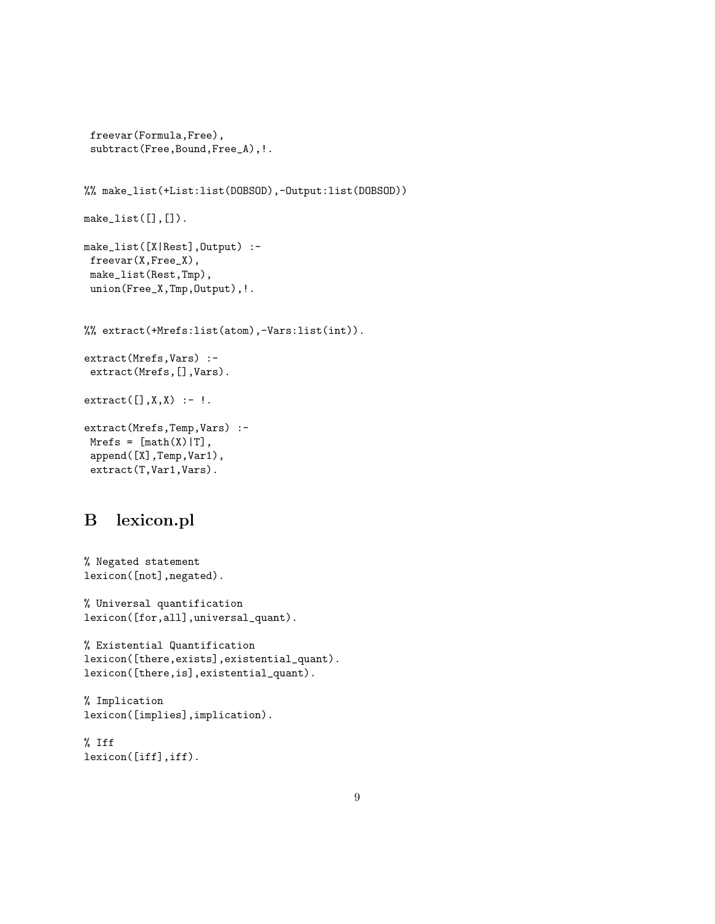```
freevar(Formula,Free),
 subtract(Free,Bound,Free_A),!.
%% make_list(+List:list(DOBSOD),-Output:list(DOBSOD))
make_list([],[]).
make_list([X|Rest],Output) :-
freevar(X,Free_X),
make_list(Rest,Tmp),
union(Free_X,Tmp,Output),!.
%% extract(+Mrefs:list(atom),-Vars:list(int)).
extract(Mrefs,Vars) :-
extract(Mrefs,[],Vars).
extract([], X, X) :- !.
extract(Mrefs,Temp,Vars) :-
Mrefs = [math(X) | T],append([X],Temp,Var1),
extract(T,Var1,Vars).
```
# B lexicon.pl

```
% Negated statement
lexicon([not],negated).
% Universal quantification
lexicon([for,all],universal_quant).
% Existential Quantification
lexicon([there,exists],existential_quant).
lexicon([there,is],existential_quant).
% Implication
lexicon([implies],implication).
% Iff
lexicon([iff],iff).
```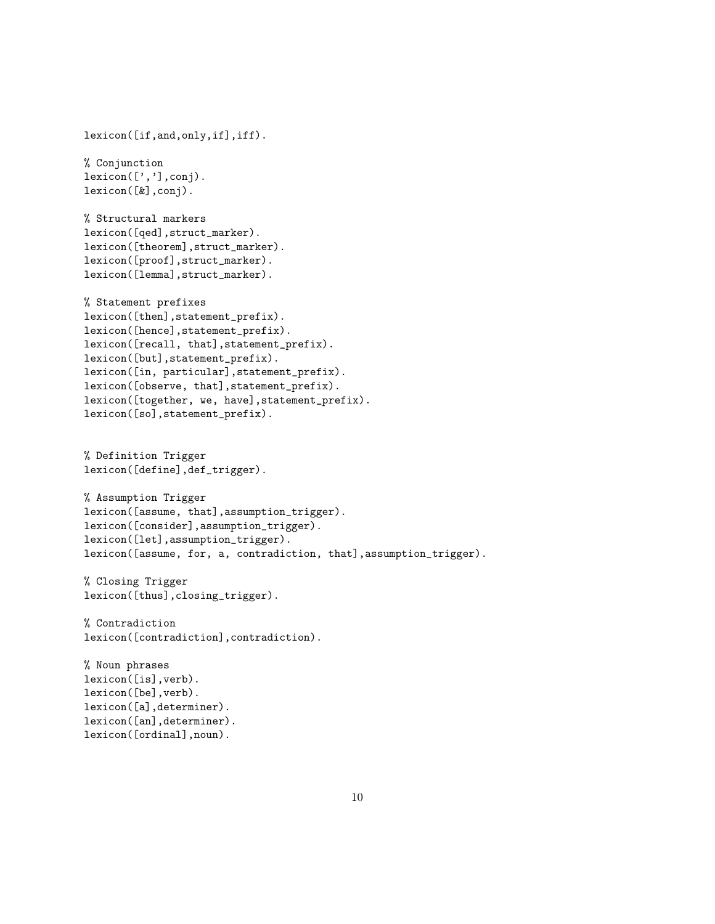lexicon([if,and,only,if],iff).

```
% Conjunction
lexicon([\n,']',conj).lexicon([&],conj).
```
% Structural markers lexicon([qed],struct\_marker). lexicon([theorem],struct\_marker). lexicon([proof],struct\_marker). lexicon([lemma],struct\_marker).

```
% Statement prefixes
lexicon([then],statement_prefix).
lexicon([hence],statement_prefix).
lexicon([recall, that], statement_prefix).
lexicon([but],statement_prefix).
lexicon([in, particular],statement_prefix).
lexicon([observe, that],statement_prefix).
lexicon([together, we, have],statement_prefix).
lexicon([so],statement_prefix).
```
% Definition Trigger lexicon([define],def\_trigger).

```
% Assumption Trigger
lexicon([assume, that],assumption_trigger).
lexicon([consider],assumption_trigger).
lexicon([let],assumption_trigger).
lexicon([assume, for, a, contradiction, that],assumption_trigger).
```

```
% Closing Trigger
lexicon([thus],closing_trigger).
```

```
% Contradiction
lexicon([contradiction],contradiction).
```
% Noun phrases lexicon([is],verb). lexicon([be],verb). lexicon([a],determiner). lexicon([an],determiner). lexicon([ordinal],noun).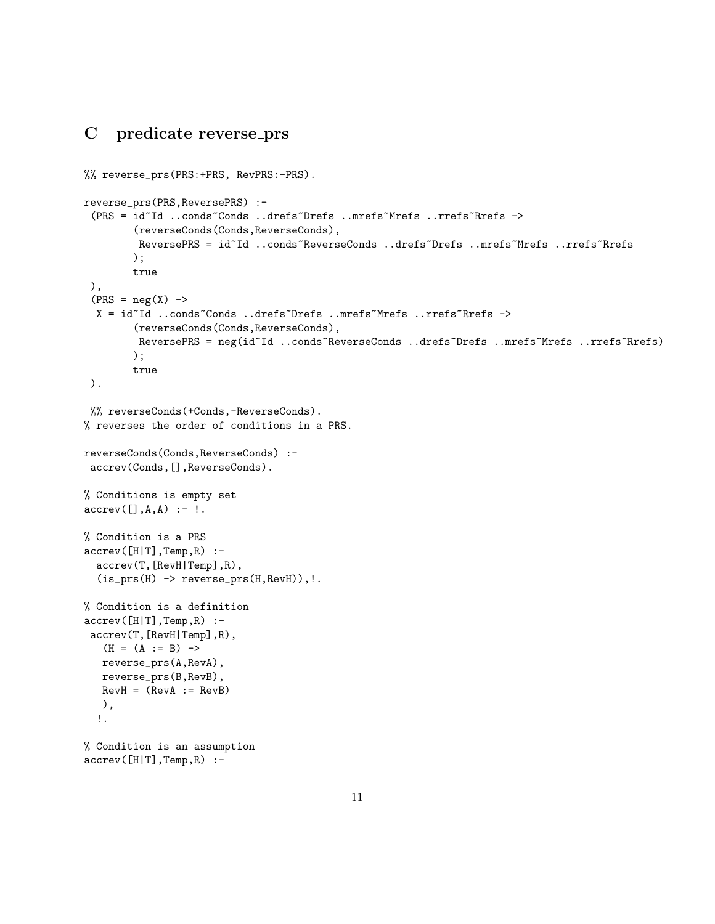# C predicate reverse prs

```
%% reverse_prs(PRS:+PRS, RevPRS:-PRS).
reverse_prs(PRS,ReversePRS) :-
 (PRS = id~Id ..conds~Conds ..drefs~Drefs ..mrefs~Mrefs ..rrefs~Rrefs ->
        (reverseConds(Conds,ReverseConds),
        ReversePRS = id~Id ..conds~ReverseConds ..drefs~Drefs ..mrefs~Mrefs ..rrefs~Rrefs
        );
        true
 ),
 (PRS = neg(X) \rightarrowX = id~Id ..conds~Conds ..drefs~Drefs ..mrefs~Mrefs ..rrefs~Rrefs ->
        (reverseConds(Conds,ReverseConds),
         ReversePRS = neg(id~Id ..conds~ReverseConds ..drefs~Drefs ..mrefs~Mrefs ..rrefs~Rrefs)
        );
        true
).
%% reverseConds(+Conds,-ReverseConds).
% reverses the order of conditions in a PRS.
reverseConds(Conds,ReverseConds) :-
accrev(Conds,[],ReverseConds).
% Conditions is empty set
\text{accept}([\], A, A) :- !.
% Condition is a PRS
accrev([H|T],Temp,R) :-
  accrev(T,[RevH|Temp],R),
  (is_prs(H) -> reverse_prs(H,RevH)),!.
% Condition is a definition
accrev([H|T],Temp,R) :-
accrev(T,[RevH|Temp],R),
   (H = (A := B) ->
  reverse_prs(A,RevA),
  reverse_prs(B,RevB),
  RevH = (RevA := RevB)),
  !.
% Condition is an assumption
\text{accept}([H|T], \text{Temp}, R) :-
```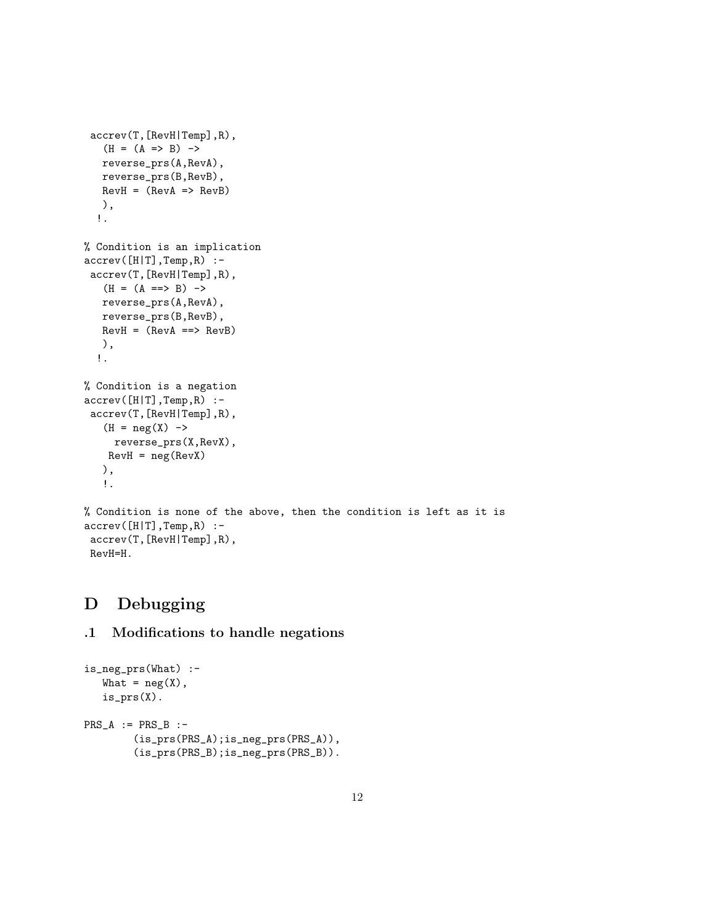```
accrev(T,[RevH|Temp],R),
   (H = (A \Rightarrow B) \rightarrowreverse_prs(A,RevA),
   reverse_prs(B,RevB),
   RevH = (RevA \implies RevB)),
  !.
% Condition is an implication
accrev([H|T],Temp,R) :-
accrev(T,[RevH|Temp],R),
   (H = (A == B) ->
   reverse_prs(A,RevA),
   reverse_prs(B,RevB),
   RevH = (RevA \implies RevB)),
  !.
% Condition is a negation
accrev([H|T],Temp,R) :-
accrev(T,[RevH|Temp],R),
   (H = neg(X) \rightarrowreverse_prs(X,RevX),
    RevH = neg(RevX)),
   !.
% Condition is none of the above, then the condition is left as it is
accrev([H|T],Temp,R) :-
accrev(T,[RevH|Temp],R),
RevH=H.
```
# D Debugging

.1 Modifications to handle negations

```
is_neg_prs(What) :-
   What = neg(X),
   is_prs(X).
PRS_A := PRS_B :-(is_prs(PRS_A);is_neg_prs(PRS_A)),
        (is_prs(PRS_B);is_neg_prs(PRS_B)).
```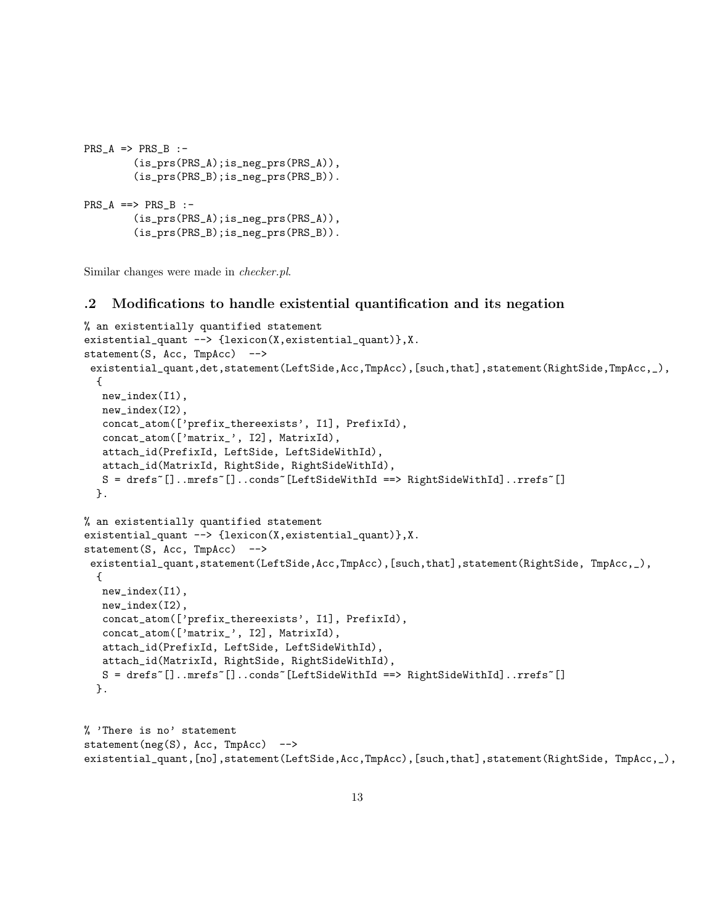```
PRS_A \Rightarrow PRS_B :=(is_prs(PRS_A);is_neg_prs(PRS_A)),(is_prs(PRS_B);is_neg_prs(PRS_B)).
PRS_A ==> PRS_B :-
        (is_prs(PRS_A);is_neg_prs(PRS_A)),
        (is_prs(PRS_B);is_neg_prs(PRS_B)).
```
Similar changes were made in checker.pl.

### .2 Modifications to handle existential quantification and its negation

```
% an existentially quantified statement
existential_quant --> {lexicon(X,existential_quant)},X.
statement(S, Acc, TmpAcc) -->
 existential_quant,det,statement(LeftSide,Acc,TmpAcc),[such,that],statement(RightSide,TmpAcc,_),
  {
  new_index(I1),
  new_index(I2),
  concat_atom(['prefix_thereexists', I1], PrefixId),
  concat_atom(['matrix_', I2], MatrixId),
  attach_id(PrefixId, LeftSide, LeftSideWithId),
  attach_id(MatrixId, RightSide, RightSideWithId),
  S = drefs~[]..mrefs~[]..conds~[LeftSideWithId ==> RightSideWithId]..rrefs~[]
 }.
% an existentially quantified statement
existential_quant --> {lexicon(X,existential_quant)},X.
statement(S, Acc, TmpAcc) -->
 existential_quant,statement(LeftSide,Acc,TmpAcc),[such,that],statement(RightSide, TmpAcc,_),
  {
  new_index(I1),
  new_index(I2),
  concat_atom(['prefix_thereexists', I1], PrefixId),
   concat_atom(['matrix_', I2], MatrixId),
  attach_id(PrefixId, LeftSide, LeftSideWithId),
  attach_id(MatrixId, RightSide, RightSideWithId),
  S = drefs~[]..mrefs~[]..conds~[LeftSideWithId ==> RightSideWithId]..rrefs~[]
  }.
```

```
% 'There is no' statement
statement(neg(S), Acc, TmpAcc) -->
existential_quant,[no],statement(LeftSide,Acc,TmpAcc),[such,that],statement(RightSide, TmpAcc,_),
```